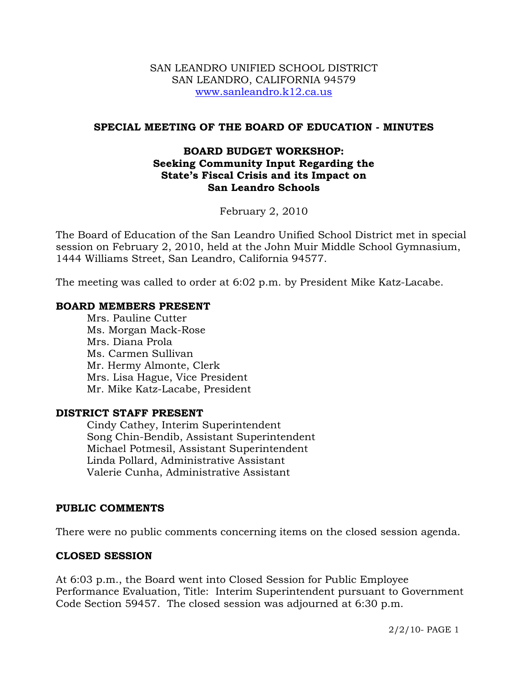#### SAN LEANDRO UNIFIED SCHOOL DISTRICT SAN LEANDRO, CALIFORNIA 94579 www.sanleandro.k12.ca.us

### **SPECIAL MEETING OF THE BOARD OF EDUCATION - MINUTES**

## **BOARD BUDGET WORKSHOP: Seeking Community Input Regarding the State's Fiscal Crisis and its Impact on San Leandro Schools**

February 2, 2010

The Board of Education of the San Leandro Unified School District met in special session on February 2, 2010, held at the John Muir Middle School Gymnasium, 1444 Williams Street, San Leandro, California 94577.

The meeting was called to order at 6:02 p.m. by President Mike Katz-Lacabe.

#### **BOARD MEMBERS PRESENT**

Mrs. Pauline Cutter Ms. Morgan Mack-Rose Mrs. Diana Prola Ms. Carmen Sullivan Mr. Hermy Almonte, Clerk Mrs. Lisa Hague, Vice President Mr. Mike Katz-Lacabe, President

#### **DISTRICT STAFF PRESENT**

Cindy Cathey, Interim Superintendent Song Chin-Bendib, Assistant Superintendent Michael Potmesil, Assistant Superintendent Linda Pollard, Administrative Assistant Valerie Cunha, Administrative Assistant

#### **PUBLIC COMMENTS**

There were no public comments concerning items on the closed session agenda.

#### **CLOSED SESSION**

At 6:03 p.m., the Board went into Closed Session for Public Employee Performance Evaluation, Title: Interim Superintendent pursuant to Government Code Section 59457. The closed session was adjourned at 6:30 p.m.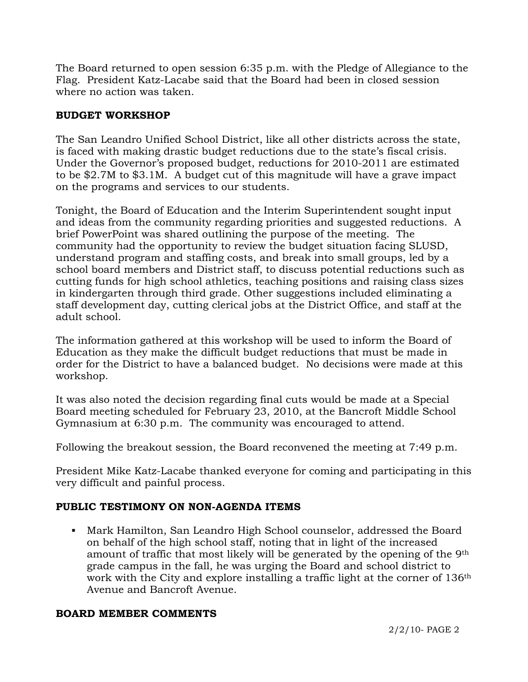The Board returned to open session 6:35 p.m. with the Pledge of Allegiance to the Flag. President Katz-Lacabe said that the Board had been in closed session where no action was taken.

# **BUDGET WORKSHOP**

The San Leandro Unified School District, like all other districts across the state, is faced with making drastic budget reductions due to the state's fiscal crisis. Under the Governor's proposed budget, reductions for 2010-2011 are estimated to be \$2.7M to \$3.1M. A budget cut of this magnitude will have a grave impact on the programs and services to our students.

Tonight, the Board of Education and the Interim Superintendent sought input and ideas from the community regarding priorities and suggested reductions. A brief PowerPoint was shared outlining the purpose of the meeting. The community had the opportunity to review the budget situation facing SLUSD, understand program and staffing costs, and break into small groups, led by a school board members and District staff, to discuss potential reductions such as cutting funds for high school athletics, teaching positions and raising class sizes in kindergarten through third grade. Other suggestions included eliminating a staff development day, cutting clerical jobs at the District Office, and staff at the adult school.

The information gathered at this workshop will be used to inform the Board of Education as they make the difficult budget reductions that must be made in order for the District to have a balanced budget. No decisions were made at this workshop.

It was also noted the decision regarding final cuts would be made at a Special Board meeting scheduled for February 23, 2010, at the Bancroft Middle School Gymnasium at 6:30 p.m. The community was encouraged to attend.

Following the breakout session, the Board reconvened the meeting at 7:49 p.m.

President Mike Katz-Lacabe thanked everyone for coming and participating in this very difficult and painful process.

# **PUBLIC TESTIMONY ON NON-AGENDA ITEMS**

 Mark Hamilton, San Leandro High School counselor, addressed the Board on behalf of the high school staff, noting that in light of the increased amount of traffic that most likely will be generated by the opening of the 9th grade campus in the fall, he was urging the Board and school district to work with the City and explore installing a traffic light at the corner of 136th Avenue and Bancroft Avenue.

## **BOARD MEMBER COMMENTS**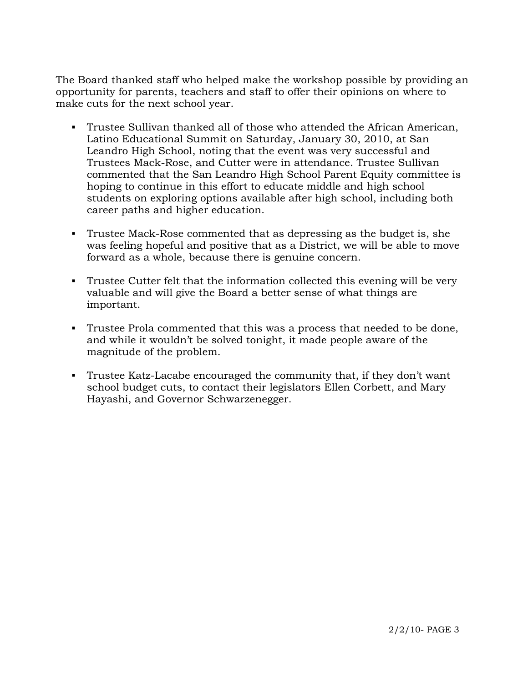The Board thanked staff who helped make the workshop possible by providing an opportunity for parents, teachers and staff to offer their opinions on where to make cuts for the next school year.

- Trustee Sullivan thanked all of those who attended the African American, Latino Educational Summit on Saturday, January 30, 2010, at San Leandro High School, noting that the event was very successful and Trustees Mack-Rose, and Cutter were in attendance. Trustee Sullivan commented that the San Leandro High School Parent Equity committee is hoping to continue in this effort to educate middle and high school students on exploring options available after high school, including both career paths and higher education.
- Trustee Mack-Rose commented that as depressing as the budget is, she was feeling hopeful and positive that as a District, we will be able to move forward as a whole, because there is genuine concern.
- Trustee Cutter felt that the information collected this evening will be very valuable and will give the Board a better sense of what things are important.
- Trustee Prola commented that this was a process that needed to be done, and while it wouldn't be solved tonight, it made people aware of the magnitude of the problem.
- Trustee Katz-Lacabe encouraged the community that, if they don't want school budget cuts, to contact their legislators Ellen Corbett, and Mary Hayashi, and Governor Schwarzenegger.